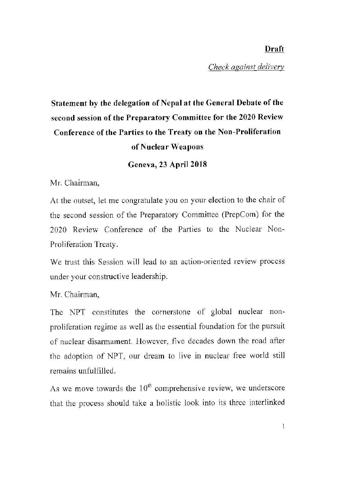## **Draft**

*Check against delivery* 

## **Statement by the delegation of Nepal at the General Debate of the second session of the Preparatory Committee for the 2020 Review Conference of the Parties to the Treaty on the Non-Proliferation of Nuclear Weapons**

**Geneva, 23 April 2018** 

Mr. Chairman,

At the outset, let me congratulate you on your election to the chair of the second session of the Preparatory Committee (PrepCom) for the 2020 Review Conference of the Parties to the Nuclear Non-Proliferation Treaty.

We trust this Session will lead to an action-oriented review process under your constructive leadership.

Mr. Chairman,

The NPT constitutes the cornerstone of global nuclear nonproliferation regime as well as the essential foundation for the pursuit of nuclear disannament. However, five decades down the road after the adoption of NPT, our dream to live in nuclear free world still remains unfulfilled.

As we move towards the  $10<sup>th</sup>$  comprehensive review, we underscore that the process should take a holistic look into its three interlinked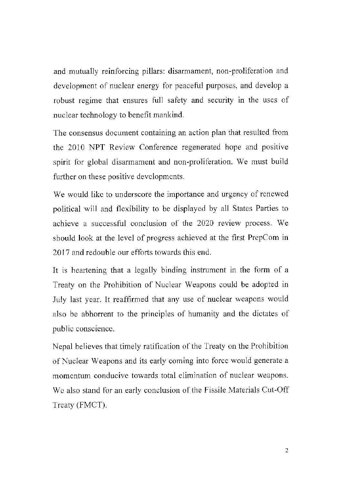and mutually reinforcing pillars: disarmament, non-proliferation and development of nuclear energy for peaceful purposes, and develop a robust regime that ensures full safety and security in the uses of nuclear technology to benefit mankind.

The consensus document containing an action plan that resulted from the 2010 NPT Review Conference regenerated hope and positive spirit for global disarmament and non-proliferation. We must build further on these positive developments.

We would like to underscore the importance and urgency of renewed political will and flexibility to be displayed by all States Parties to achieve a successful conclusion of the 2020 review process. We should look at the level of progress achieved at the first PrepCom **in**  2017 and redouble our efforts towards this end.

It is heartening that a legally binding instrument in the form of a Treaty on the Prohibition of Nuclear Weapons could be adopted **in**  July last year. It reaffirmed that any use of nuclear weapons would also be abhorrent to the principles of humanity and the dictates of public conscience.

Nepal believes that timely ratification of the Treaty on the Prohibition of Nuclear Weapons and its early coming into force would generate a momentum conducive towards total elimination of nuclear weapons. We also stand for an early conclusion of the Fissile Materials Cut-Off Treaty (FMCT).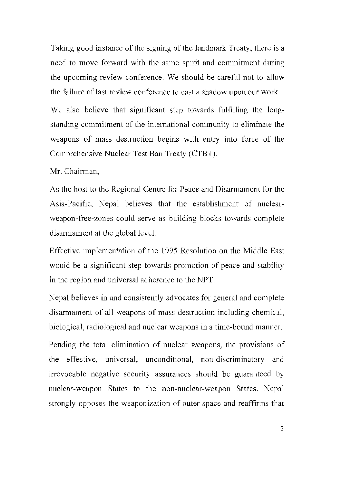Taking good instance of the signing of the landmark Treaty, there is a need to move forward with the same spirit and commitment during the upcoming review conference. We should be careful not to allow the failure of last review conference to cast a shadow upon our work.

We also believe that significant step towards fulfilling the longstanding commitment of the international community to eliminate the weapons of mass destruction begins with entry into force of the Comprehensive Nuclear Test Ban Treaty (CTBT).

Mr. Chairman,

As the host to the Regional Centre for Peace and Disarmament for the Asia-Pacific, Nepal believes that the establishment of nuclearweapon-free-zones could serve as building blocks towards complete disarmament at the global level.

Effective implementation of the 1995 Resolution on the Middle East would be a significant step towards promotion of peace and stability in the region and universal adherence to the NPT.

Nepal believes in and consistently advocates for general and complete disarmament of all weapons of mass destruction including chemical, biological, radiological and nuclear weapons in a time-bound manner.

Pending the total elimination of nuclear weapons, the provisions of the effective, universal, unconditional, non-discriminatory and irrevocable negative security assurances should be guaranteed by nuclear-weapon States to the non-nuclear-weapon States. Nepal strongly opposes the weaponization of outer space and reaffirms that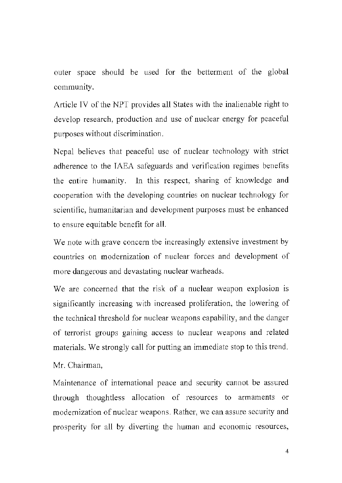outer space should be used for the betterment of the global community.

Article TV of the NPT provides all States with the inalienable right to develop research, production and use of nuclear energy for peaceful purposes without discrimination.

Nepal believes that peaceful use of nuclear technology with strict adherence to the JAEA safeguards and verification regimes benefits the entire humanity. In this respect, sharing of knowledge and cooperation with the developing countries on nuclear technology for scientific, humanitarian and development purposes must be enhanced to ensure equitable benefit for all.

We note with grave concern the increasingly extensive investment by countries on modernization of nuclear forces and development of more dangerous and devastating nuclear warheads.

We are concerned that the risk of a nuclear weapon explosion is significantly increasing with increased proliferation, the lowering of the technical threshold for nuclear weapons capability, and the danger of terrorist groups gaining access to nuclear weapons and related materials. We strongly call for putting an immediate stop to this trend.

Mr. Chairman,

Maintenance of international peace and security cannot be assured through thoughtless allocation of resources to armaments or modernization of nuclear weapons. Rather, we can assure security and prosperity for all by diverting the human and economic resources,

4